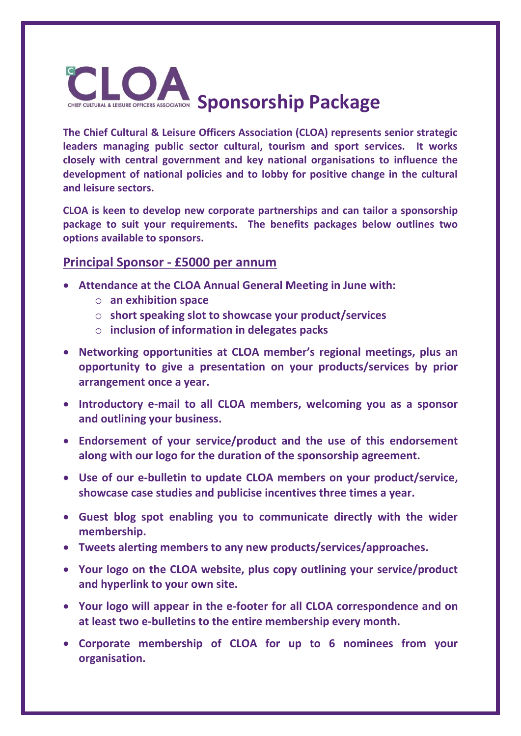

**The Chief Cultural & Leisure Officers Association (CLOA) represents senior strategic leaders managing public sector cultural, tourism and sport services. It works closely with central government and key national organisations to influence the development of national policies and to lobby for positive change in the cultural and leisure sectors.**

**CLOA is keen to develop new corporate partnerships and can tailor a sponsorship package to suit your requirements. The benefits packages below outlines two options available to sponsors.**

## **Principal Sponsor - £5000 per annum**

- **Attendance at the CLOA Annual General Meeting in June with:**
	- o **an exhibition space**
	- o **short speaking slot to showcase your product/services**
	- o **inclusion of information in delegates packs**
- **Networking opportunities at CLOA member's regional meetings, plus an opportunity to give a presentation on your products/services by prior arrangement once a year.**
- **Introductory e-mail to all CLOA members, welcoming you as a sponsor and outlining your business.**
- **Endorsement of your service/product and the use of this endorsement along with our logo for the duration of the sponsorship agreement.**
- **Use of our e-bulletin to update CLOA members on your product/service, showcase case studies and publicise incentives three times a year.**
- **Guest blog spot enabling you to communicate directly with the wider membership.**
- **Tweets alerting members to any new products/services/approaches.**
- **Your logo on the CLOA website, plus copy outlining your service/product and hyperlink to your own site.**
- **Your logo will appear in the e-footer for all CLOA correspondence and on at least two e-bulletins to the entire membership every month.**
- **Corporate membership of CLOA for up to 6 nominees from your organisation.**